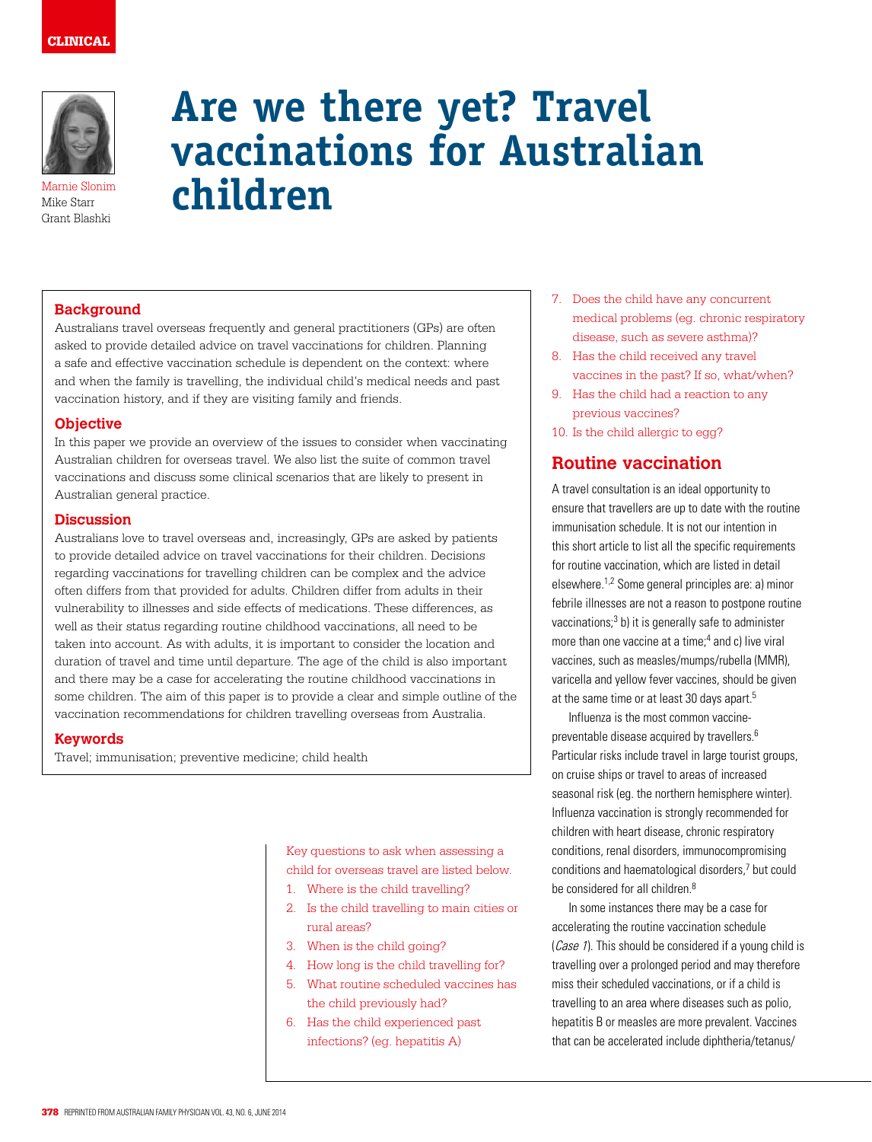

Marnie Slonim Mike Starr Grant Blashki

# **Are we there yet? Travel vaccinations for Australian children**

## **Background**

Australians travel overseas frequently and general practitioners (GPs) are often asked to provide detailed advice on travel vaccinations for children. Planning a safe and effective vaccination schedule is dependent on the context: where and when the family is travelling, the individual child's medical needs and past vaccination history, and if they are visiting family and friends.

### **Objective**

In this paper we provide an overview of the issues to consider when vaccinating Australian children for overseas travel. We also list the suite of common travel vaccinations and discuss some clinical scenarios that are likely to present in Australian general practice.

#### **Discussion**

Australians love to travel overseas and, increasingly, GPs are asked by patients to provide detailed advice on travel vaccinations for their children. Decisions regarding vaccinations for travelling children can be complex and the advice often differs from that provided for adults. Children differ from adults in their vulnerability to illnesses and side effects of medications. These differences, as well as their status regarding routine childhood vaccinations, all need to be taken into account. As with adults, it is important to consider the location and duration of travel and time until departure. The age of the child is also important and there may be a case for accelerating the routine childhood vaccinations in some children. The aim of this paper is to provide a clear and simple outline of the vaccination recommendations for children travelling overseas from Australia.

#### **Keywords**

Travel; immunisation; preventive medicine; child health

Key questions to ask when assessing a child for overseas travel are listed below.

- 1. Where is the child travelling?
- 2. Is the child travelling to main cities or rural areas?
- 3. When is the child going?
- 4. How long is the child travelling for?
- 5. What routine scheduled vaccines has the child previously had?
- 6. Has the child experienced past infections? (eg. hepatitis A)
- 7. Does the child have any concurrent medical problems (eg. chronic respiratory disease, such as severe asthma)?
- 8. Has the child received any travel vaccines in the past? If so, what/when?
- 9. Has the child had a reaction to any previous vaccines?
- 10. Is the child allergic to egg?

## **Routine vaccination**

A travel consultation is an ideal opportunity to ensure that travellers are up to date with the routine immunisation schedule. It is not our intention in this short article to list all the specific requirements for routine vaccination, which are listed in detail elsewhere.1,2 Some general principles are: a) minor febrile illnesses are not a reason to postpone routine vaccinations;<sup>3</sup> b) it is generally safe to administer more than one vaccine at a time;<sup>4</sup> and c) live viral vaccines, such as measles/mumps/rubella (MMR), varicella and yellow fever vaccines, should be given at the same time or at least 30 days apart.<sup>5</sup>

Influenza is the most common vaccinepreventable disease acquired by travellers.<sup>6</sup> Particular risks include travel in large tourist groups, on cruise ships or travel to areas of increased seasonal risk (eg. the northern hemisphere winter). Influenza vaccination is strongly recommended for children with heart disease, chronic respiratory conditions, renal disorders, immunocompromising conditions and haematological disorders,7 but could be considered for all children.<sup>8</sup>

In some instances there may be a case for accelerating the routine vaccination schedule (Case 1). This should be considered if a young child is travelling over a prolonged period and may therefore miss their scheduled vaccinations, or if a child is travelling to an area where diseases such as polio, hepatitis B or measles are more prevalent. Vaccines that can be accelerated include diphtheria/tetanus/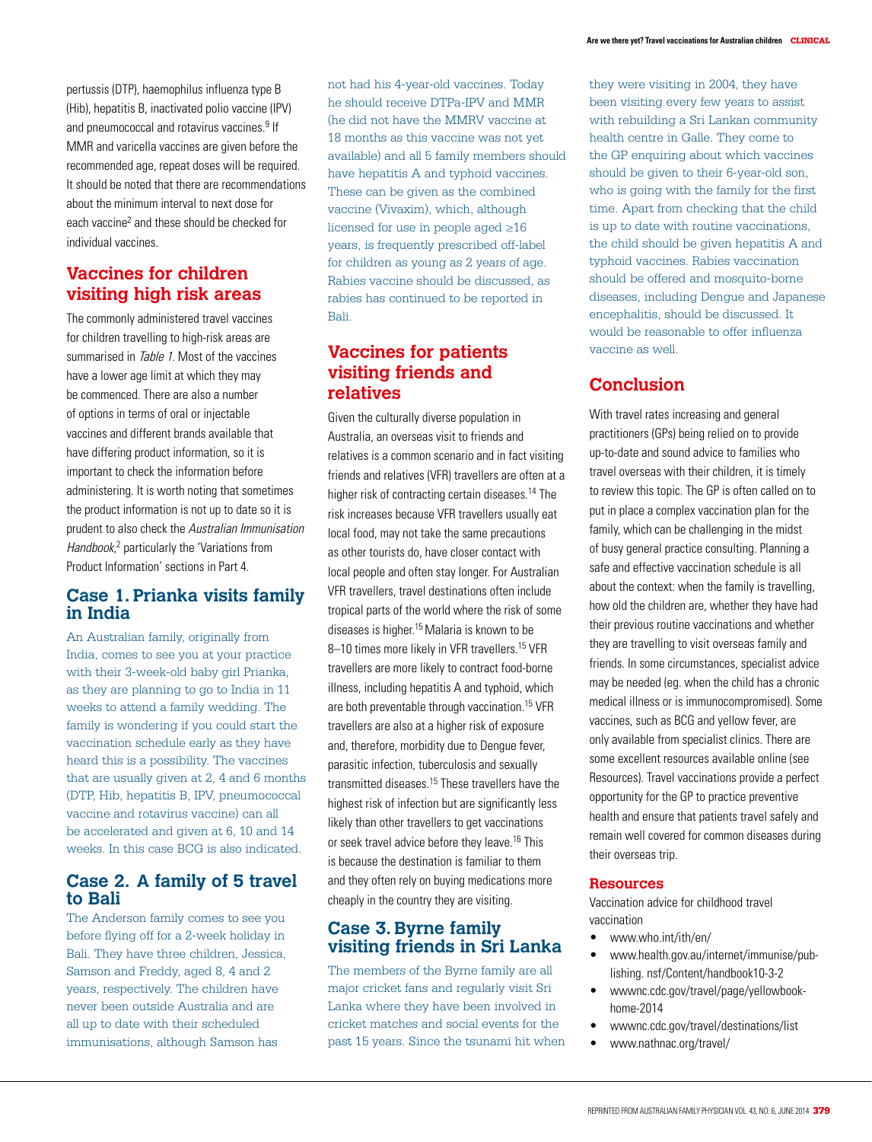pertussis (DTP), haemophilus influenza type B (Hib), hepatitis B, inactivated polio vaccine (IPV) and pneumococcal and rotavirus vaccines.<sup>9</sup> If MMR and varicella vaccines are given before the recommended age, repeat doses will be required. It should be noted that there are recommendations about the minimum interval to next dose for each vaccine<sup>2</sup> and these should be checked for individual vaccines.

# **Vaccines for children visiting high risk areas**

The commonly administered travel vaccines for children travelling to high-risk areas are summarised in Table 1. Most of the vaccines have a lower age limit at which they may be commenced. There are also a number of options in terms of oral or injectable vaccines and different brands available that have differing product information, so it is important to check the information before administering. It is worth noting that sometimes the product information is not up to date so it is prudent to also check the Australian Immunisation Handbook,<sup>2</sup> particularly the 'Variations from Product Information' sections in Part 4.

## **Case 1. Prianka visits family in India**

An Australian family, originally from India, comes to see you at your practice with their 3-week-old baby girl Prianka, as they are planning to go to India in 11 weeks to attend a family wedding. The family is wondering if you could start the vaccination schedule early as they have heard this is a possibility. The vaccines that are usually given at 2, 4 and 6 months (DTP, Hib, hepatitis B, IPV, pneumococcal vaccine and rotavirus vaccine) can all be accelerated and given at 6, 10 and 14 weeks. In this case BCG is also indicated.

## **Case 2. A family of 5 travel to Bali**

The Anderson family comes to see you before flying off for a 2-week holiday in Bali. They have three children, Jessica, Samson and Freddy, aged 8, 4 and 2 years, respectively. The children have never been outside Australia and are all up to date with their scheduled immunisations, although Samson has

not had his 4-year-old vaccines. Today he should receive DTPa-IPV and MMR (he did not have the MMRV vaccine at 18 months as this vaccine was not yet available) and all 5 family members should have hepatitis A and typhoid vaccines. These can be given as the combined vaccine (Vivaxim), which, although licensed for use in people aged ≥16 years, is frequently prescribed off-label for children as young as 2 years of age. Rabies vaccine should be discussed, as rabies has continued to be reported in Bali.

# **Vaccines for patients visiting friends and relatives**

Given the culturally diverse population in Australia, an overseas visit to friends and relatives is a common scenario and in fact visiting friends and relatives (VFR) travellers are often at a higher risk of contracting certain diseases.14 The risk increases because VFR travellers usually eat local food, may not take the same precautions as other tourists do, have closer contact with local people and often stay longer. For Australian VFR travellers, travel destinations often include tropical parts of the world where the risk of some diseases is higher.15 Malaria is known to be 8-10 times more likely in VFR travellers.<sup>15</sup> VFR travellers are more likely to contract food-borne illness, including hepatitis A and typhoid, which are both preventable through vaccination.15 VFR travellers are also at a higher risk of exposure and, therefore, morbidity due to Dengue fever, parasitic infection, tuberculosis and sexually transmitted diseases.<sup>15</sup> These travellers have the highest risk of infection but are significantly less likely than other travellers to get vaccinations or seek travel advice before they leave.16 This is because the destination is familiar to them and they often rely on buying medications more cheaply in the country they are visiting.

## **Case 3. Byrne family visiting friends in Sri Lanka**

The members of the Byrne family are all major cricket fans and regularly visit Sri Lanka where they have been involved in cricket matches and social events for the past 15 years. Since the tsunami hit when they were visiting in 2004, they have been visiting every few years to assist with rebuilding a Sri Lankan community health centre in Galle. They come to the GP enquiring about which vaccines should be given to their 6-year-old son, who is going with the family for the first time. Apart from checking that the child is up to date with routine vaccinations, the child should be given hepatitis A and typhoid vaccines. Rabies vaccination should be offered and mosquito-borne diseases, including Dengue and Japanese encephalitis, should be discussed. It would be reasonable to offer influenza vaccine as well.

# **Conclusion**

With travel rates increasing and general practitioners (GPs) being relied on to provide up-to-date and sound advice to families who travel overseas with their children, it is timely to review this topic. The GP is often called on to put in place a complex vaccination plan for the family, which can be challenging in the midst of busy general practice consulting. Planning a safe and effective vaccination schedule is all about the context: when the family is travelling, how old the children are, whether they have had their previous routine vaccinations and whether they are travelling to visit overseas family and friends. In some circumstances, specialist advice may be needed (eg. when the child has a chronic medical illness or is immunocompromised). Some vaccines, such as BCG and yellow fever, are only available from specialist clinics. There are some excellent resources available online (see Resources). Travel vaccinations provide a perfect opportunity for the GP to practice preventive health and ensure that patients travel safely and remain well covered for common diseases during their overseas trip.

#### **Resources**

Vaccination advice for childhood travel vaccination

- www.who.int/ith/en/
- www.health.gov.au/internet/immunise/publishing. nsf/Content/handbook10-3-2
- wwwnc.cdc.gov/travel/page/yellowbookhome-2014
- wwwnc.cdc.gov/travel/destinations/list
- www.nathnac.org/travel/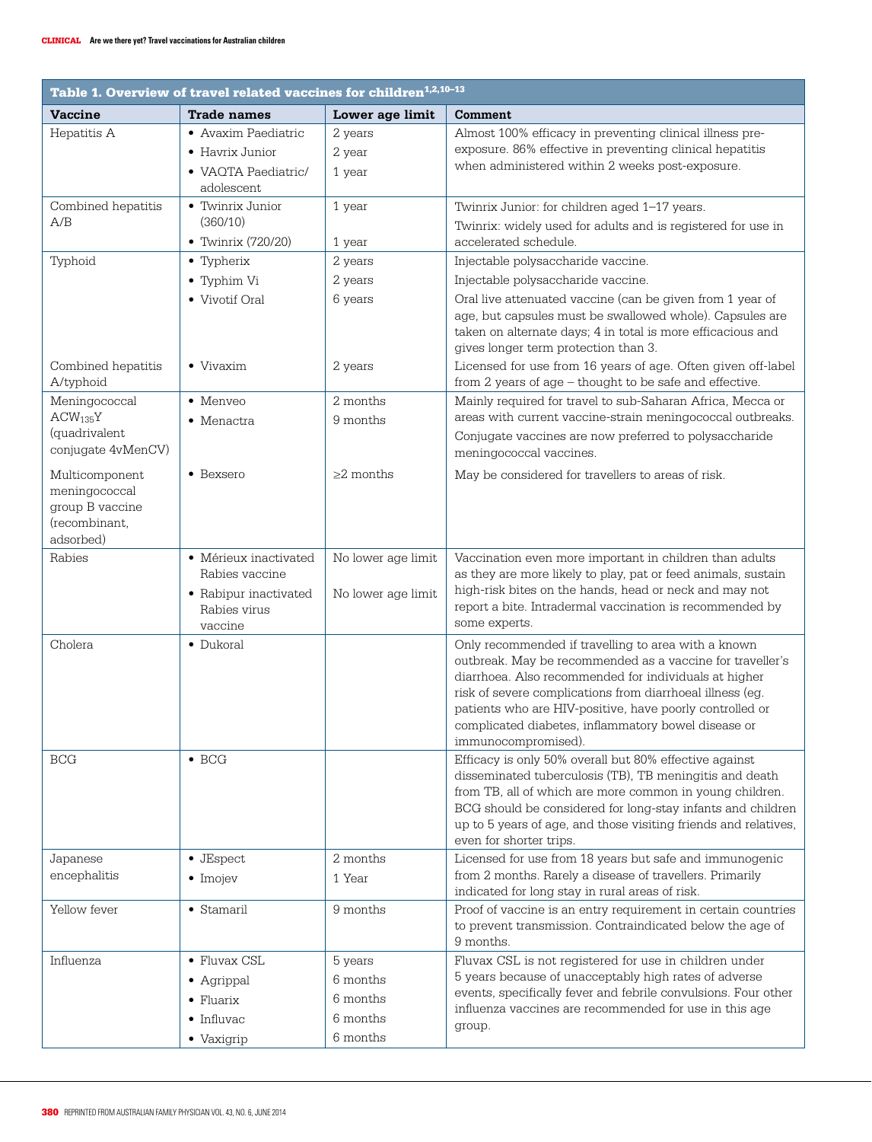| Table 1. Overview of travel related vaccines for children <sup>1,2,10-13</sup>   |                                                                                             |                                                         |                                                                                                                                                                                                                                                                                                                                                                                  |
|----------------------------------------------------------------------------------|---------------------------------------------------------------------------------------------|---------------------------------------------------------|----------------------------------------------------------------------------------------------------------------------------------------------------------------------------------------------------------------------------------------------------------------------------------------------------------------------------------------------------------------------------------|
| <b>Vaccine</b>                                                                   | <b>Trade names</b>                                                                          | Lower age limit                                         | Comment                                                                                                                                                                                                                                                                                                                                                                          |
| Hepatitis A                                                                      | • Avaxim Paediatric<br>• Havrix Junior<br>• VAOTA Paediatric/<br>adolescent                 | 2 years<br>2 year<br>1 year                             | Almost 100% efficacy in preventing clinical illness pre-<br>exposure. 86% effective in preventing clinical hepatitis<br>when administered within 2 weeks post-exposure.                                                                                                                                                                                                          |
| Combined hepatitis<br>A/B                                                        | • Twinrix Junior<br>(360/10)<br>• Twinrix (720/20)                                          | 1 year<br>1 year                                        | Twinrix Junior: for children aged 1-17 years.<br>Twinrix: widely used for adults and is registered for use in<br>accelerated schedule.                                                                                                                                                                                                                                           |
| Typhoid                                                                          | • Typherix<br>• Typhim Vi<br>• Vivotif Oral                                                 | 2 years<br>2 years<br>6 years                           | Injectable polysaccharide vaccine.<br>Injectable polysaccharide vaccine.<br>Oral live attenuated vaccine (can be given from 1 year of<br>age, but capsules must be swallowed whole). Capsules are<br>taken on alternate days; 4 in total is more efficacious and<br>gives longer term protection than 3.                                                                         |
| Combined hepatitis<br>A/typhoid                                                  | $\bullet$ Vivaxim                                                                           | 2 years                                                 | Licensed for use from 16 years of age. Often given off-label<br>from 2 years of age - thought to be safe and effective.                                                                                                                                                                                                                                                          |
| Meningococcal<br>$ACW_{135}Y$<br>(quadrivalent<br>conjugate 4vMenCV)             | • Menveo<br>• Menactra                                                                      | 2 months<br>9 months                                    | Mainly required for travel to sub-Saharan Africa, Mecca or<br>areas with current vaccine-strain meningococcal outbreaks.<br>Conjugate vaccines are now preferred to polysaccharide<br>meningococcal vaccines.                                                                                                                                                                    |
| Multicomponent<br>meningococcal<br>group B vaccine<br>(recombinant,<br>adsorbed) | • Bexsero                                                                                   | $>2$ months                                             | May be considered for travellers to areas of risk.                                                                                                                                                                                                                                                                                                                               |
| Rabies                                                                           | • Mérieux inactivated<br>Rabies vaccine<br>• Rabipur inactivated<br>Rabies virus<br>vaccine | No lower age limit<br>No lower age limit                | Vaccination even more important in children than adults<br>as they are more likely to play, pat or feed animals, sustain<br>high-risk bites on the hands, head or neck and may not<br>report a bite. Intradermal vaccination is recommended by<br>some experts.                                                                                                                  |
| Cholera                                                                          | • Dukoral                                                                                   |                                                         | Only recommended if travelling to area with a known<br>outbreak. May be recommended as a vaccine for traveller's<br>diarrhoea. Also recommended for individuals at higher<br>risk of severe complications from diarrhoeal illness (eg.<br>patients who are HIV-positive, have poorly controlled or<br>complicated diabetes, inflammatory bowel disease or<br>immunocompromised). |
| <b>BCG</b>                                                                       | $\bullet$ BCG                                                                               |                                                         | Efficacy is only 50% overall but 80% effective against<br>disseminated tuberculosis (TB), TB meningitis and death<br>from TB, all of which are more common in young children.<br>BCG should be considered for long-stay infants and children<br>up to 5 years of age, and those visiting friends and relatives,<br>even for shorter trips.                                       |
| Japanese<br>encephalitis                                                         | • JEspect<br>$\bullet$ Imojev                                                               | 2 months<br>1 Year                                      | Licensed for use from 18 years but safe and immunogenic<br>from 2 months. Rarely a disease of travellers. Primarily<br>indicated for long stay in rural areas of risk.                                                                                                                                                                                                           |
| Yellow fever                                                                     | • Stamaril                                                                                  | 9 months                                                | Proof of vaccine is an entry requirement in certain countries<br>to prevent transmission. Contraindicated below the age of<br>9 months.                                                                                                                                                                                                                                          |
| Influenza                                                                        | • Fluvax CSL<br>• Agrippal<br>$\bullet$ Fluarix<br>$\bullet$ Influvac<br>• Vaxigrip         | 5 years<br>6 months<br>6 months<br>6 months<br>6 months | Fluvax CSL is not registered for use in children under<br>5 years because of unacceptably high rates of adverse<br>events, specifically fever and febrile convulsions. Four other<br>influenza vaccines are recommended for use in this age<br>group.                                                                                                                            |